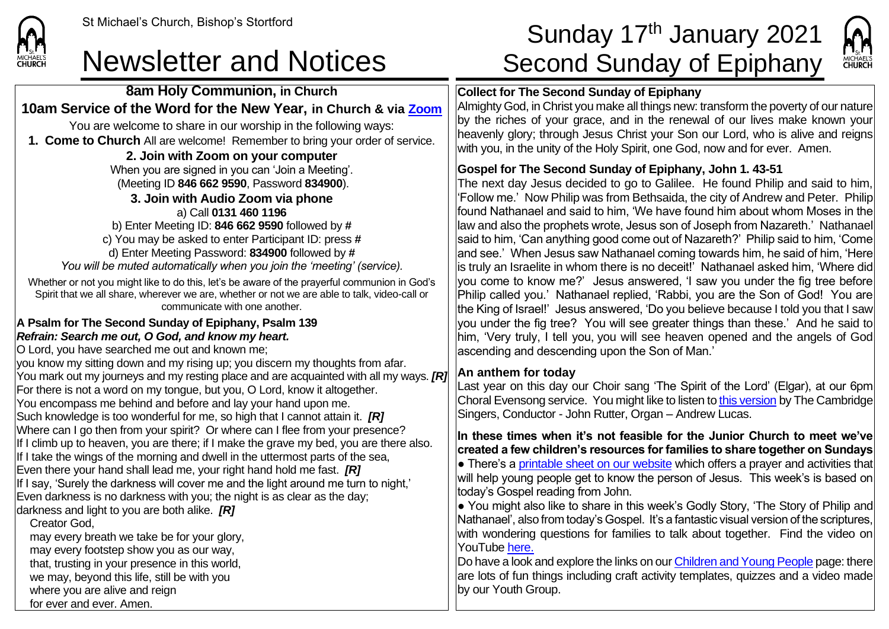

**8am Holy Communion, in Church 10am Service of the Word for the New Year, in Church & via [Zoom](https://zoom.us/)** You are welcome to share in our worship in the following ways: **1. Come to Church** All are welcome! Remember to bring your order of service. **2. Join with Zoom on your computer** When you are signed in you can 'Join a Meeting'. (Meeting ID **846 662 9590**, Password **834900**). **3. Join with Audio Zoom via phone**  a) Call **0131 460 1196** b) Enter Meeting ID: **846 662 9590** followed by **#** c) You may be asked to enter Participant ID: press **#** d) Enter Meeting Password: **834900** followed by **#**

*You will be muted automatically when you join the 'meeting' (service).*

Whether or not you might like to do this, let's be aware of the prayerful communion in God's Spirit that we all share, wherever we are, whether or not we are able to talk, video-call or communicate with one another.

#### **A Psalm for The Second Sunday of Epiphany, Psalm 139** *Refrain: Search me out, O God, and know my heart.*

O Lord, you have searched me out and known me;

you know my sitting down and my rising up; you discern my thoughts from afar. You mark out my journeys and my resting place and are acquainted with all my ways. *[R]* For there is not a word on my tongue, but you, O Lord, know it altogether. You encompass me behind and before and lay your hand upon me. Such knowledge is too wonderful for me, so high that I cannot attain it. *[R]* Where can I go then from your spirit? Or where can I flee from your presence? If I climb up to heaven, you are there; if I make the grave my bed, you are there also. If I take the wings of the morning and dwell in the uttermost parts of the sea, Even there your hand shall lead me, your right hand hold me fast. *[R]* If I say, 'Surely the darkness will cover me and the light around me turn to night,' Even darkness is no darkness with you; the night is as clear as the day; darkness and light to you are both alike. *[R]* Creator God, may every breath we take be for your glory,

may every footstep show you as our way,

that, trusting in your presence in this world,

we may, beyond this life, still be with you

where you are alive and reign

for ever and ever. Amen.

# St Michael's Church, Bishop's Stortford  $\textsf{Sunday 17}^{\textsf{th}}\ \textsf{January 2021}$ Newsletter and Notices Second Sunday of Epiphany

# MICHAELS

### **Collect for The Second Sunday of Epiphany**

Almighty God, in Christ you make all things new: transform the poverty of our nature by the riches of your grace, and in the renewal of our lives make known your heavenly glory; through Jesus Christ your Son our Lord, who is alive and reigns with you, in the unity of the Holy Spirit, one God, now and for ever. Amen.

## **Gospel for The Second Sunday of Epiphany, John 1. 43-51**

The next day Jesus decided to go to Galilee. He found Philip and said to him, 'Follow me.' Now Philip was from Bethsaida, the city of Andrew and Peter. Philip found Nathanael and said to him, 'We have found him about whom Moses in the law and also the prophets wrote, Jesus son of Joseph from Nazareth.' Nathanael said to him, 'Can anything good come out of Nazareth?' Philip said to him, 'Come and see.' When Jesus saw Nathanael coming towards him, he said of him, 'Here is truly an Israelite in whom there is no deceit!' Nathanael asked him, 'Where did you come to know me?' Jesus answered, 'I saw you under the fig tree before Philip called you.' Nathanael replied, 'Rabbi, you are the Son of God! You are the King of Israel!' Jesus answered, 'Do you believe because I told you that I saw you under the fig tree? You will see greater things than these.' And he said to him, 'Very truly, I tell you, you will see heaven opened and the angels of God ascending and descending upon the Son of Man.'

#### **An anthem for today**

Last year on this day our Choir sang 'The Spirit of the Lord' (Elgar), at our 6pm Choral Evensong service. You might like to listen t[o this version](https://www.youtube.com/watch?v=IwV2eDyKZkw) by The Cambridge Singers, Conductor - John Rutter, Organ – Andrew Lucas.

**In these times when it's not feasible for the Junior Church to meet we've created a few children's resources for families to share together on Sundays**   $\bullet$  There's a [printable sheet on our website](https://saintmichaelweb.org.uk/Groups/310496/Children_and_Young.aspx) which offers a prayer and activities that will help young people get to know the person of Jesus. This week's is based on today's Gospel reading from John.

● You might also like to share in this week's Godly Story, 'The Story of Philip and Nathanael', also from today's Gospel. It's a fantastic visual version of the scriptures, with wondering questions for families to talk about together. Find the video on YouTub[e here.](https://www.youtube.com/watch?v=aVppTwJPDjk)

Do have a look and explore the links on ou[r Children and Young People](https://saintmichaelweb.org.uk/Groups/310496/Children_and_Young.aspx) page: there are lots of fun things including craft activity templates, quizzes and a video made by our Youth Group.